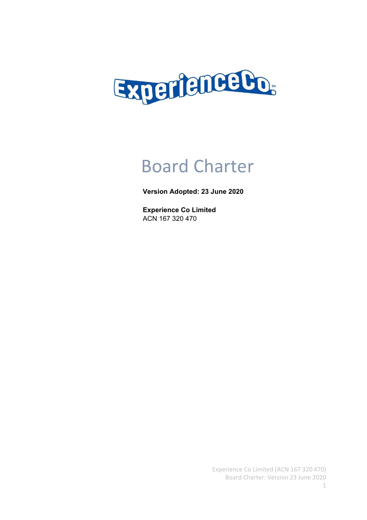

# Board Charter

# **Version Adopted: 23 June 2020**

**Experience Co Limited** ACN 167 320 470

> Experience Co Limited (ACN 167 320 470) Board Charter: Version 23 June 2020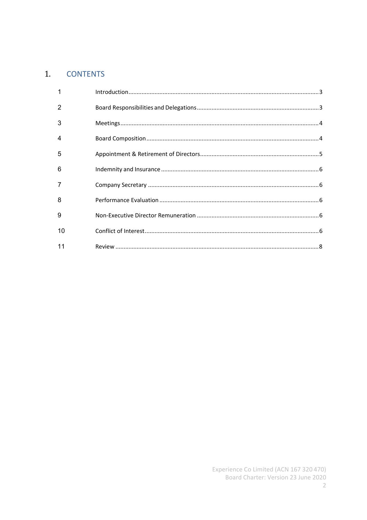# 1. CONTENTS

| 2  |  |
|----|--|
| 3  |  |
| 4  |  |
| 5  |  |
| 6  |  |
| 7  |  |
| 8  |  |
| 9  |  |
| 10 |  |
| 11 |  |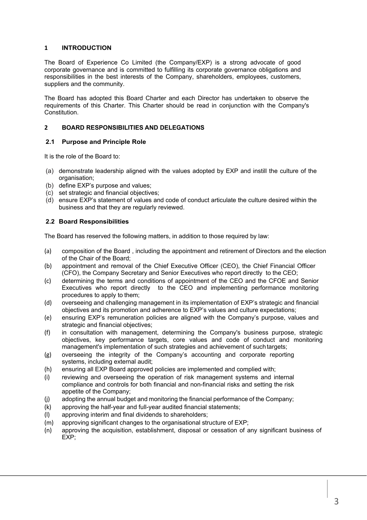#### **1 INTRODUCTION**

The Board of Experience Co Limited (the Company/EXP) is a strong advocate of good corporate governance and is committed to fulfilling its corporate governance obligations and responsibilities in the best interests of the Company, shareholders, employees, customers, suppliers and the community.

The Board has adopted this Board Charter and each Director has undertaken to observe the requirements of this Charter. This Charter should be read in conjunction with the Company's Constitution.

#### **2 BOARD RESPONSIBILITIES AND DELEGATIONS**

#### **2.1 Purpose and Principle Role**

It is the role of the Board to:

- (a) demonstrate leadership aligned with the values adopted by EXP and instill the culture of the organisation;
- (b) define EXP's purpose and values;
- (c) set strategic and financial objectives;
- (d) ensure EXP's statement of values and code of conduct articulate the culture desired within the business and that they are regularly reviewed.

#### **2.2 Board Responsibilities**

The Board has reserved the following matters, in addition to those required by law:

- (a) composition of the Board , including the appointment and retirement of Directors and the election of the Chair of the Board;
- (b) appointment and removal of the Chief Executive Officer (CEO), the Chief Financial Officer (CFO), the Company Secretary and Senior Executives who report directly to the CEO;
- (c) determining the terms and conditions of appointment of the CEO and the CFOE and Senior Executives who report directly to the CEO and implementing performance monitoring procedures to apply to them;
- (d) overseeing and challenging management in its implementation of EXP's strategic and financial objectives and its promotion and adherence to EXP's values and culture expectations;
- (e) ensuring EXP's remuneration policies are aligned with the Company's purpose, values and strategic and financial objectives;
- (f) in consultation with management, determining the Company's business purpose, strategic objectives, key performance targets, core values and code of conduct and monitoring management's implementation of such strategies and achievement of suchtargets;
- (g) overseeing the integrity of the Company's accounting and corporate reporting systems, including external audit;
- (h) ensuring all EXP Board approved policies are implemented and complied with;
- (i) reviewing and overseeing the operation of risk management systems and internal compliance and controls for both financial and non-financial risks and setting the risk appetite of the Company;
- (j) adopting the annual budget and monitoring the financial performance of the Company;
- (k) approving the half-year and full-year audited financial statements;
- (l) approving interim and final dividends to shareholders;
- (m) approving significant changes to the organisational structure of EXP;
- (n) approving the acquisition, establishment, disposal or cessation of any significant business of EXP;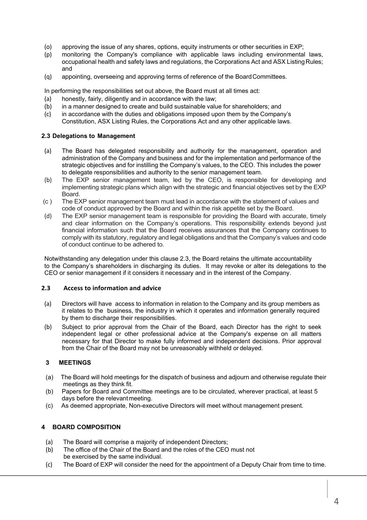- (o) approving the issue of any shares, options, equity instruments or other securities in EXP;
- (p) monitoring the Company's compliance with applicable laws including environmental laws, occupational health and safety laws and regulations, the Corporations Act and ASX ListingRules; and
- (q) appointing, overseeing and approving terms of reference of the BoardCommittees.

In performing the responsibilities set out above, the Board must at all times act:

- (a) honestly, fairly, diligently and in accordance with the law;
- (b) in a manner designed to create and build sustainable value for shareholders; and
- (c) in accordance with the duties and obligations imposed upon them by the Company's Constitution, ASX Listing Rules, the Corporations Act and any other applicable laws.

#### **2.3 Delegations to Management**

- (a) The Board has delegated responsibility and authority for the management, operation and administration of the Company and business and for the implementation and performance of the strategic objectives and for instilling the Company's values, to the CEO. This includes the power to delegate responsibilities and authority to the senior management team.
- (b) The EXP senior management team, led by the CEO, is responsible for developing and implementing strategic plans which align with the strategic and financial objectives set by the EXP Board.
- (c ) The EXP senior management team must lead in accordance with the statement of values and code of conduct approved by the Board and within the risk appetite set by the Board.
- (d) The EXP senior management team is responsible for providing the Board with accurate, timely and clear information on the Company's operations. This responsibility extends beyond just financial information such that the Board receives assurances that the Company continues to comply with its statutory, regulatory and legal obligations and that the Company's values and code of conduct continue to be adhered to.

Notwithstanding any delegation under this clause 2.3, the Board retains the ultimate accountability to the Company's shareholders in discharging its duties. It may revoke or alter its delegations to the CEO or senior management if it considers it necessary and in the interest of the Company.

#### **2.3 Access to information and advice**

- (a) Directors will have access to information in relation to the Company and its group members as it relates to the business, the industry in which it operates and information generally required by them to discharge their responsibilities.
- (b) Subject to prior approval from the Chair of the Board, each Director has the right to seek independent legal or other professional advice at the Company's expense on all matters necessary for that Director to make fully informed and independent decisions. Prior approval from the Chair of the Board may not be unreasonably withheld or delayed.

## **3 MEETINGS**

- (a) The Board will hold meetings for the dispatch of business and adjourn and otherwise regulate their meetings as they think fit.
- (b) Papers for Board and Committee meetings are to be circulated, wherever practical, at least 5 days before the relevantmeeting.
- (c) As deemed appropriate, Non-executive Directors will meet without management present.

#### **4 BOARD COMPOSITION**

- (a) The Board will comprise a majority of independent Directors;
- (b) The office of the Chair of the Board and the roles of the CEO must not be exercised by the same individual.
- (c) The Board of EXP will consider the need for the appointment of a Deputy Chair from time to time.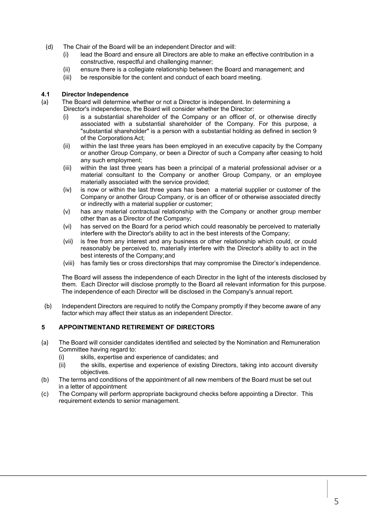- (d) The Chair of the Board will be an independent Director and will:
	- (i) lead the Board and ensure all Directors are able to make an effective contribution in a constructive, respectful and challenging manner;
	- (ii) ensure there is a collegiate relationship between the Board and management; and
	- (iii) be responsible for the content and conduct of each board meeting.

#### **4.1 Director Independence**

- (a) The Board will determine whether or not a Director is independent. In determining a Director's independence, the Board will consider whether the Director:
	- (i) is a substantial shareholder of the Company or an officer of, or otherwise directly associated with a substantial shareholder of the Company. For this purpose, a "substantial shareholder" is a person with a substantial holding as defined in section 9 of the Corporations Act;
	- (ii) within the last three years has been employed in an executive capacity by the Company or another Group Company, or been a Director of such a Company after ceasing to hold any such employment;
	- (iii) within the last three years has been a principal of a material professional adviser or a material consultant to the Company or another Group Company, or an employee materially associated with the service provided;
	- (iv) is now or within the last three years has been a material supplier or customer of the Company or another Group Company, or is an officer of or otherwise associated directly or indirectly with a material supplier or customer;
	- (v) has any material contractual relationship with the Company or another group member other than as a Director of the Company;
	- (vi) has served on the Board for a period which could reasonably be perceived to materially interfere with the Director's ability to act in the best interests of the Company;
	- (vii) is free from any interest and any business or other relationship which could, or could reasonably be perceived to, materially interfere with the Director's ability to act in the best interests of the Company;and
	- (viii) has family ties or cross directorships that may compromise the Director's independence.

The Board will assess the independence of each Director in the light of the interests disclosed by them. Each Director will disclose promptly to the Board all relevant information for this purpose. The independence of each Director will be disclosed in the Company's annual report.

(b) Independent Directors are required to notify the Company promptly if they become aware of any factor which may affect their status as an independent Director.

#### **5 APPOINTMENTAND RETIREMENT OF DIRECTORS**

- (a) The Board will consider candidates identified and selected by the Nomination and Remuneration Committee having regard to:
	- (i) skills, expertise and experience of candidates; and
	- (ii) the skills, expertise and experience of existing Directors, taking into account diversity objectives.
- (b) The terms and conditions of the appointment of all new members of the Board must be set out in a letter of appointment
- (c) The Company will perform appropriate background checks before appointing a Director. This requirement extends to senior management.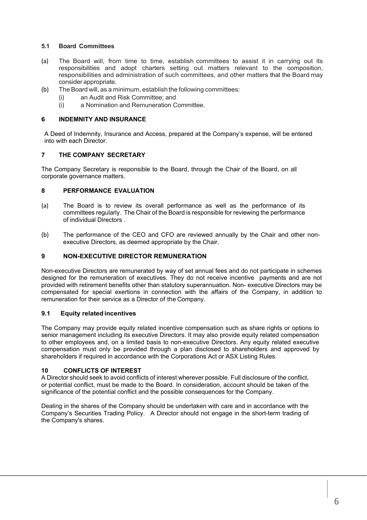#### **5.1 Board Committees**

- (a) The Board will, from time to time, establish committees to assist it in carrying out its responsibilities and adopt charters setting out matters relevant to the composition, responsibilities and administration of such committees, and other matters that the Board may consider appropriate.
- (b) The Board will, as a minimum, establish the following committees:
	- (i) an Audit and Risk Committee; and
	- (i) a Nomination and Remuneration Committee.

#### **6 INDEMNITY AND INSURANCE**

A Deed of Indemnity, Insurance and Access, prepared at the Company's expense, will be entered into with each Director.

#### **7 THE COMPANY SECRETARY**

The Company Secretary is responsible to the Board, through the Chair of the Board, on all corporate governance matters.

#### **8 PERFORMANCE EVALUATION**

- (a) The Board is to review its overall performance as well as the performance of its committees regularly. The Chair of the Board is responsible for reviewing the performance of individual Directors .
- (b) The performance of the CEO and CFO are reviewed annually by the Chair and other nonexecutive Directors, as deemed appropriate by the Chair.

#### **9 NON-EXECUTIVE DIRECTOR REMUNERATION**

Non-executive Directors are remunerated by way of set annual fees and do not participate in schemes designed for the remuneration of executives. They do not receive incentive payments and are not provided with retirement benefits other than statutory superannuation. Non- executive Directors may be compensated for special exertions in connection with the affairs of the Company, in addition to remuneration for their service as a Director of the Company.

#### **9.1 Equity relatedincentives**

The Company may provide equity related incentive compensation such as share rights or options to senior management including its executive Directors. It may also provide equity related compensation to other employees and, on a limited basis to non-executive Directors. Any equity related executive compensation must only be provided through a plan disclosed to shareholders and approved by shareholders if required in accordance with the Corporations Act or ASX Listing Rules.

#### **10 CONFLICTS OF INTEREST**

A Director should seek to avoid conflicts of interest wherever possible. Full disclosure of the conflict, or potential conflict, must be made to the Board. In consideration, account should be taken of the significance of the potential conflict and the possible consequences for the Company.

Dealing in the shares of the Company should be undertaken with care and in accordance with the Company's Securities Trading Policy. A Director should not engage in the short-term trading of the Company's shares.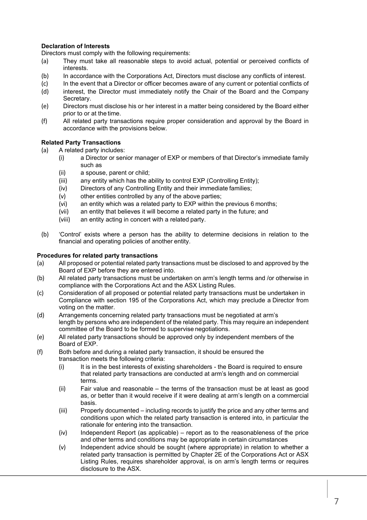#### **Declaration of Interests**

Directors must comply with the following requirements:

- (a) They must take all reasonable steps to avoid actual, potential or perceived conflicts of interests.
- (b) In accordance with the Corporations Act, Directors must disclose any conflicts of interest.
- (c) In the event that a Director or officer becomes aware of any current or potential conflicts of (d) interest, the Director must immediately notify the Chair of the Board and the Company
- Secretary. (e) Directors must disclose his or her interest in a matter being considered by the Board either
- prior to or at the time. (f) All related party transactions require proper consideration and approval by the Board in accordance with the provisions below.

#### **Related Party Transactions**

- (a) A related party includes:
	- (i) a Director or senior manager of EXP or members of that Director's immediate family such as
		- (ii) a spouse, parent or child;
		- (iii) any entity which has the ability to control EXP (Controlling Entity);
		- (iv) Directors of any Controlling Entity and their immediate families;
		- (v) other entities controlled by any of the above parties;
		- (vi) an entity which was a related party to EXP within the previous 6 months;
		- (vii) an entity that believes it will become a related party in the future; and
		- (viii) an entity acting in concert with a related party.
- (b) 'Control' exists where a person has the ability to determine decisions in relation to the financial and operating policies of another entity.

#### **Procedures for related party transactions**

- (a) All proposed or potential related party transactions must be disclosed to and approved by the Board of EXP before they are entered into.
- (b) All related party transactions must be undertaken on arm's length terms and /or otherwise in compliance with the Corporations Act and the ASX Listing Rules.
- (c) Consideration of all proposed or potential related party transactions must be undertaken in Compliance with section 195 of the Corporations Act, which may preclude a Director from voting on the matter.
- (d) Arrangements concerning related party transactions must be negotiated at arm's length by persons who are independent of the related party. This may require an independent committee of the Board to be formed to supervise negotiations.
- (e) All related party transactions should be approved only by independent members of the Board of EXP.
- (f) Both before and during a related party transaction, it should be ensured the transaction meets the following criteria:
	- (i) It is in the best interests of existing shareholders the Board is required to ensure that related party transactions are conducted at arm's length and on commercial terms.
	- (ii) Fair value and reasonable the terms of the transaction must be at least as good as, or better than it would receive if it were dealing at arm's length on a commercial basis.
	- (iii) Properly documented including records to justify the price and any other terms and conditions upon which the related party transaction is entered into, in particular the rationale for entering into the transaction.
	- (iv) Independent Report (as applicable) report as to the reasonableness of the price and other terms and conditions may be appropriate in certain circumstances
	- (v) Independent advice should be sought (where appropriate) in relation to whether a related party transaction is permitted by Chapter 2E of the Corporations Act or ASX Listing Rules, requires shareholder approval, is on arm's length terms or requires disclosure to the ASX.